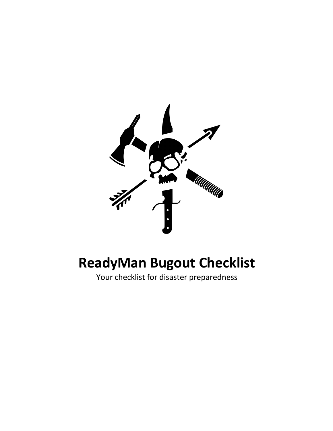

# **ReadyMan Bugout Checklist**

Your checklist for disaster preparedness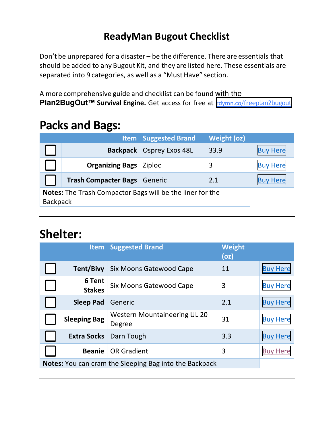#### **ReadyMan Bugout Checklist**

Don't be unprepared for a disaster – be the difference. There are essentials that should be added to any Bugout Kit, and they are listed here. These essentials are separated into 9 categories, as well as a "Must Have" section.

A more comprehensive guide and checklist can be found with the **Plan2BugOut**™ **Survival Engine.** Get access for free at rdymn.co/[freeplan2bugout](https://rdymn.co/freeplan2bugout)

#### **Packs and Bags:**

|                                                                  |                             | <b>Item</b> Suggested Brand     | <b>Weight (oz)</b> |                 |
|------------------------------------------------------------------|-----------------------------|---------------------------------|--------------------|-----------------|
|                                                                  |                             | <b>Backpack</b> Osprey Exos 48L | 33.9               | <b>Buy Here</b> |
|                                                                  | <b>Organizing Bags</b>      | Ziploc                          | 3                  | <b>Buy Here</b> |
|                                                                  | <b>Trash Compacter Bags</b> | Generic                         | 2.1                | <b>Buy Here</b> |
| <b>Notes:</b> The Trash Compactor Bags will be the liner for the |                             |                                 |                    |                 |
| <b>Backpack</b>                                                  |                             |                                 |                    |                 |

#### **Shelter:**

|                     |                         | <b>Item</b> Suggested Brand                                   | <b>Weight</b><br>(oz) |                 |
|---------------------|-------------------------|---------------------------------------------------------------|-----------------------|-----------------|
|                     | <b>Tent/Bivy</b>        | Six Moons Gatewood Cape                                       | 11                    | <b>Buy Here</b> |
|                     | 6 Tent<br><b>Stakes</b> | Six Moons Gatewood Cape                                       | 3                     | <b>Buy Here</b> |
|                     | <b>Sleep Pad</b>        | Generic                                                       | 2.1                   | <b>Buy Here</b> |
| <b>Sleeping Bag</b> |                         | Western Mountaineering UL 20<br>Degree                        | 31                    | <b>Buy Here</b> |
|                     | <b>Extra Socks</b>      | Darn Tough                                                    | 3.3                   | <b>Buy Here</b> |
|                     | <b>Beanie</b>           | <b>OR Gradient</b>                                            | 3                     | <b>Buy Here</b> |
|                     |                         | <b>Notes:</b> You can cram the Sleeping Bag into the Backpack |                       |                 |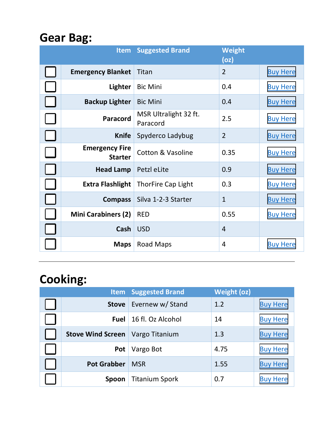## **Gear Bag:**

| <b>Item</b>                             | <b>Suggested Brand</b>            | <b>Weight</b><br>(oz) |                 |
|-----------------------------------------|-----------------------------------|-----------------------|-----------------|
| <b>Emergency Blanket</b>                | Titan                             | $\overline{2}$        | <b>Buy Here</b> |
| <b>Lighter</b>                          | <b>Bic Mini</b>                   | 0.4                   | <b>Buy Here</b> |
| <b>Backup Lighter</b>                   | <b>Bic Mini</b>                   | 0.4                   | <b>Buy Here</b> |
| Paracord                                | MSR Ultralight 32 ft.<br>Paracord | 2.5                   | <b>Buy Here</b> |
| <b>Knife</b>                            | Spyderco Ladybug                  | $\overline{2}$        | <b>Buy Here</b> |
| <b>Emergency Fire</b><br><b>Starter</b> | <b>Cotton &amp; Vasoline</b>      | 0.35                  | <b>Buy Here</b> |
| <b>Head Lamp</b>                        | Petzl eLite                       | 0.9                   | <b>Buy Here</b> |
| <b>Extra Flashlight</b>                 | <b>ThorFire Cap Light</b>         | 0.3                   | <b>Buy Here</b> |
| <b>Compass</b>                          | Silva 1-2-3 Starter               | $\mathbf{1}$          | <b>Buy Here</b> |
| <b>Mini Carabiners (2)</b>              | <b>RED</b>                        | 0.55                  | <b>Buy Here</b> |
| Cash                                    | <b>USD</b>                        | $\overline{4}$        |                 |
| <b>Maps</b>                             | <b>Road Maps</b>                  | 4                     | <b>Buy Here</b> |

## **Cooking:**

| <b>Item</b>        | <b>Suggested Brand</b> | <b>Weight (oz)</b> |                 |
|--------------------|------------------------|--------------------|-----------------|
| <b>Stove</b>       | Evernew w/ Stand       | 1.2                | <b>Buy Here</b> |
| <b>Fuel</b>        | 16 fl. Oz Alcohol      | 14                 | <b>Buy Here</b> |
| Stove Wind Screen  | Vargo Titanium         | 1.3                | <b>Buy Here</b> |
| Pot                | Vargo Bot              | 4.75               | <b>Buy Here</b> |
| <b>Pot Grabber</b> | <b>MSR</b>             | 1.55               | <b>Buy Here</b> |
| Spoon              | <b>Titanium Spork</b>  | 0.7                | <b>Buy Here</b> |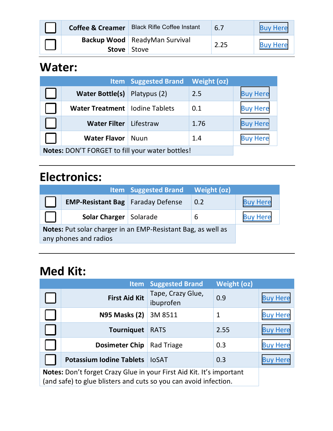| <b>Coffee &amp; Creamer</b> | <b>Black Rifle Coffee Instant</b>      | 6.7  | <b>Buy Here</b> |
|-----------------------------|----------------------------------------|------|-----------------|
| <b>Stove</b> Stove          | <b>Backup Wood</b>   ReadyMan Survival | 2.25 | <b>Buy Here</b> |

### **Water:**

|                                                       |                                  | <b>Item</b> Suggested Brand | <b>Weight (oz)</b> |                 |
|-------------------------------------------------------|----------------------------------|-----------------------------|--------------------|-----------------|
|                                                       | <b>Water Bottle(s)</b>           | Platypus (2)                | 2.5                | <b>Buy Here</b> |
|                                                       | Water Treatment   Iodine Tablets |                             | 0.1                | <b>Buy Here</b> |
|                                                       | <b>Water Filter</b>              | Lifestraw                   | 1.76               | <b>Buy Here</b> |
| <b>Water Flavor</b><br>1.4<br>Nuun<br><b>Buy Here</b> |                                  |                             |                    |                 |
| Notes: DON'T FORGET to fill your water bottles!       |                                  |                             |                    |                 |

## **Electronics:**

|                                                                                       |                                            | <b>Item</b> Suggested Brand | Weight (oz) |                 |
|---------------------------------------------------------------------------------------|--------------------------------------------|-----------------------------|-------------|-----------------|
|                                                                                       | <b>EMP-Resistant Bag</b>   Faraday Defense |                             | 0.2         | <b>Buy Here</b> |
|                                                                                       | <b>Solar Charger</b> Solarade              |                             | 6           | <b>Buy Here</b> |
| Notes: Put solar charger in an EMP-Resistant Bag, as well as<br>any phones and radios |                                            |                             |             |                 |

### **Med Kit:**

|                                                                                                                                          | <b>Item</b>                     | <b>Suggested Brand</b>         | <b>Weight (oz)</b> |                 |
|------------------------------------------------------------------------------------------------------------------------------------------|---------------------------------|--------------------------------|--------------------|-----------------|
|                                                                                                                                          | <b>First Aid Kit</b>            | Tape, Crazy Glue,<br>ibuprofen | 0.9                | <b>Buy Here</b> |
|                                                                                                                                          | <b>N95 Masks (2)</b>            | 3M 8511                        | $\mathbf{1}$       | <b>Buy Here</b> |
|                                                                                                                                          | <b>Tourniquet</b>               | <b>RATS</b>                    | 2.55               | <b>Buy Here</b> |
|                                                                                                                                          | <b>Dosimeter Chip</b>           | Rad Triage                     | 0.3                | <b>Buy Here</b> |
|                                                                                                                                          | <b>Potassium Iodine Tablets</b> | <b>IOSAT</b>                   | 0.3                | <b>Buy Here</b> |
| Notes: Don't forget Crazy Glue in your First Aid Kit. It's important<br>(and safe) to glue blisters and cuts so you can avoid infection. |                                 |                                |                    |                 |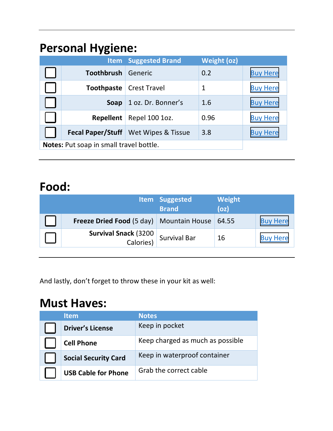## **Personal Hygiene:**

|                                         | <b>Item</b>      | <b>Suggested Brand</b>                        | <b>Weight (oz)</b> |                 |
|-----------------------------------------|------------------|-----------------------------------------------|--------------------|-----------------|
|                                         | Toothbrush       | Generic                                       | 0.2                | <b>Buy Here</b> |
|                                         |                  | <b>Toothpaste</b> Crest Travel                | 1                  | <b>Buy Here</b> |
|                                         | Soap             | 1 oz. Dr. Bonner's                            | 1.6                | <b>Buy Here</b> |
|                                         | <b>Repellent</b> | Repel 100 1oz.                                | 0.96               | <b>Buy Here</b> |
|                                         |                  | <b>Fecal Paper/Stuff</b>   Wet Wipes & Tissue | 3.8                | <b>Buy Here</b> |
| Notes: Put soap in small travel bottle. |                  |                                               |                    |                 |

#### **Food:**

|                                                         | Item Suggested<br><b>Brand</b> | Weight<br>(oz) |                 |
|---------------------------------------------------------|--------------------------------|----------------|-----------------|
| <b>Freeze Dried Food (5 day)</b> Mountain House   64.55 |                                |                | <b>Buy Here</b> |
| <b>Survival Snack (3200</b><br>Calories)                | <b>Survival Bar</b>            | 16             | <b>Buy Here</b> |

And lastly, don't forget to throw these in your kit as well:

#### **Must Haves:**

| <b>Item</b>                 | <b>Notes</b>                     |
|-----------------------------|----------------------------------|
| <b>Driver's License</b>     | Keep in pocket                   |
| <b>Cell Phone</b>           | Keep charged as much as possible |
| <b>Social Security Card</b> | Keep in waterproof container     |
| <b>USB Cable for Phone</b>  | Grab the correct cable           |